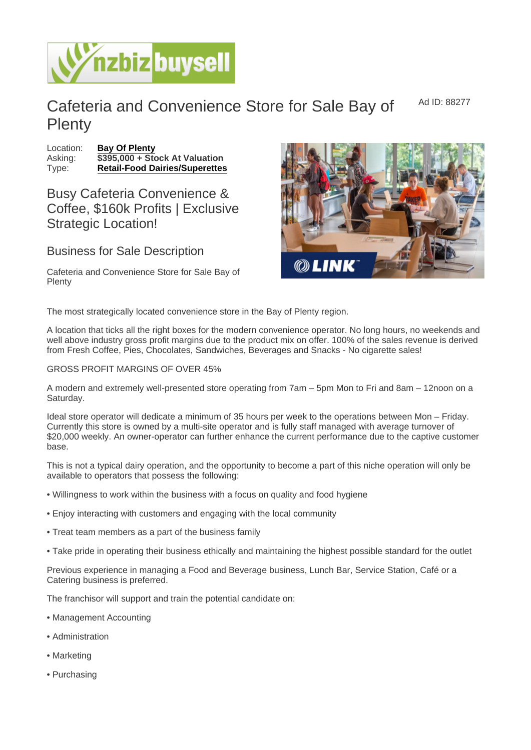Ad ID: 88277

## Cafeteria and Convenience Store for Sale Bay of **Plenty**

Location: [Bay Of Plenty](https://www.nzbizbuysell.co.nz/businesses-for-sale/location/Bay-Of-Plenty) Asking:  $\sqrt{3395,000 + 1}$  Stock At Valuation Type: [Retail-Food Dairies/Superettes](https://www.nzbizbuysell.co.nz/businesses-for-sale/Retail-Food-Dairies--Superettes/New-Zealand)

Busy Cafeteria Convenience & Coffee, \$160k Profits | Exclusive Strategic Location!

Business for Sale Description

Cafeteria and Convenience Store for Sale Bay of **Plenty** 

The most strategically located convenience store in the Bay of Plenty region.

A location that ticks all the right boxes for the modern convenience operator. No long hours, no weekends and well above industry gross profit margins due to the product mix on offer. 100% of the sales revenue is derived from Fresh Coffee, Pies, Chocolates, Sandwiches, Beverages and Snacks - No cigarette sales!

## GROSS PROFIT MARGINS OF OVER 45%

A modern and extremely well-presented store operating from 7am – 5pm Mon to Fri and 8am – 12noon on a Saturday.

Ideal store operator will dedicate a minimum of 35 hours per week to the operations between Mon – Friday. Currently this store is owned by a multi-site operator and is fully staff managed with average turnover of \$20,000 weekly. An owner-operator can further enhance the current performance due to the captive customer base.

This is not a typical dairy operation, and the opportunity to become a part of this niche operation will only be available to operators that possess the following:

- Willingness to work within the business with a focus on quality and food hygiene
- Enjoy interacting with customers and engaging with the local community
- Treat team members as a part of the business family
- Take pride in operating their business ethically and maintaining the highest possible standard for the outlet

Previous experience in managing a Food and Beverage business, Lunch Bar, Service Station, Café or a Catering business is preferred.

The franchisor will support and train the potential candidate on:

- Management Accounting
- Administration
- Marketing
- Purchasing